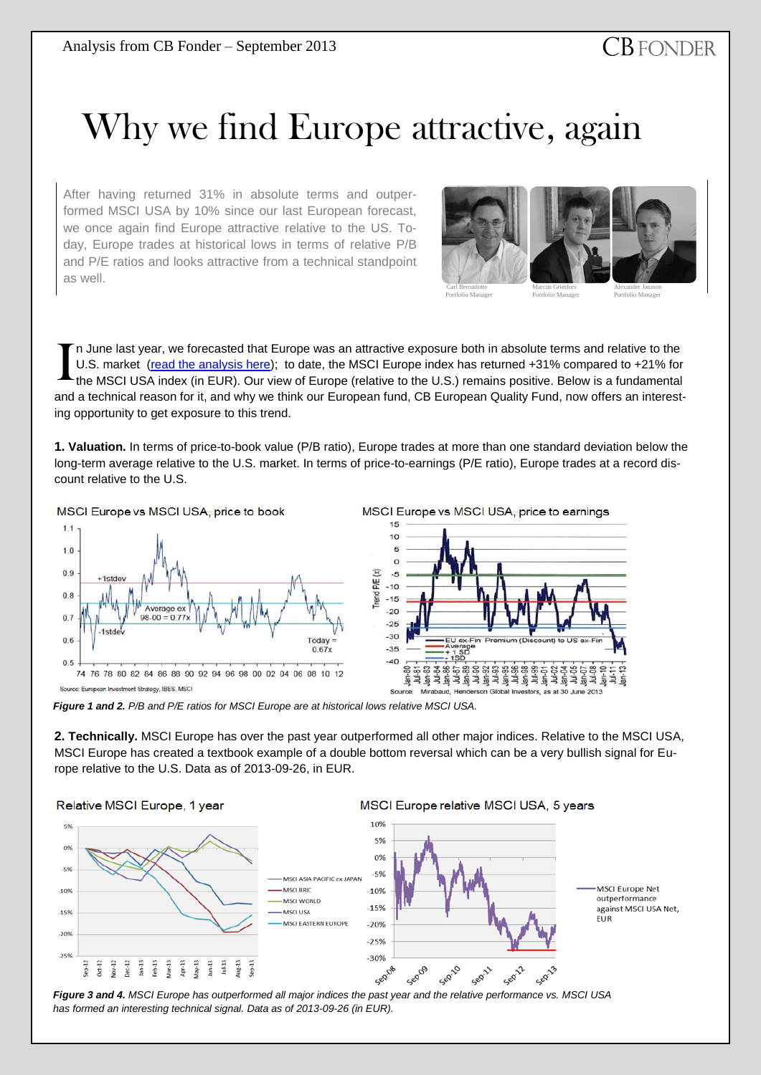## Why we find Europe attractive, again

After having returned 31% in absolute terms and outperformed MSCI USA by 10% since our last European forecast, we once again find Europe attractive relative to the US. Today, Europe trades at historical lows in terms of relative P/B and P/E ratios and looks attractive from a technical standpoint as well.



n June last year, we forecasted that Europe was an attractive exposure both in absolute terms and relative to the U.S. market [\(read the analysis here\)](http://www.cbfonder.se/images/stories/analysis_2012-06.pdf); to date, the MSCI Europe index has returned +31% compared to +21% for the MSCI USA index (in EUR). Our view of Europe (relative to the U.S.) remains positive. Below is a fundamental and a technical reason for it, and why we think our European fund, CB European Quality Fund, now offers an interesting opportunity to get exposure to this trend. I

**1. Valuation.** In terms of price-to-book value (P/B ratio), Europe trades at more than one standard deviation below the long-term average relative to the U.S. market. In terms of price-to-earnings (P/E ratio), Europe trades at a record discount relative to the U.S.



*Figure 1 and 2. P/B and P/E ratios for MSCI Europe are at historical lows relative MSCI USA.*

**2. Technically.** MSCI Europe has over the past year outperformed all other major indices. Relative to the MSCI USA, MSCI Europe has created a textbook example of a double bottom reversal which can be a very bullish signal for Europe relative to the U.S. Data as of 2013-09-26, in EUR.

## Relative MSCI Europe, 1 year



*Figure 3 and 4. MSCI Europe has outperformed all major indices the past year and the relative performance vs. MSCI USA has formed an interesting technical signal. Data as of 2013-09-26 (in EUR).*

## MSCI Europe relative MSCI USA, 5 years